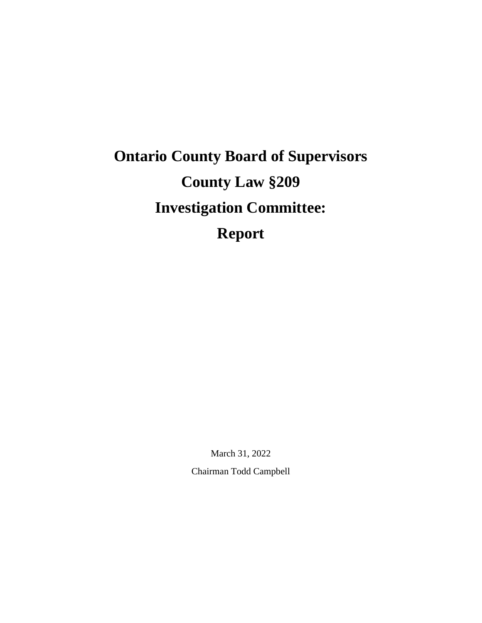# **Ontario County Board of Supervisors County Law §209 Investigation Committee: Report**

March 31, 2022 Chairman Todd Campbell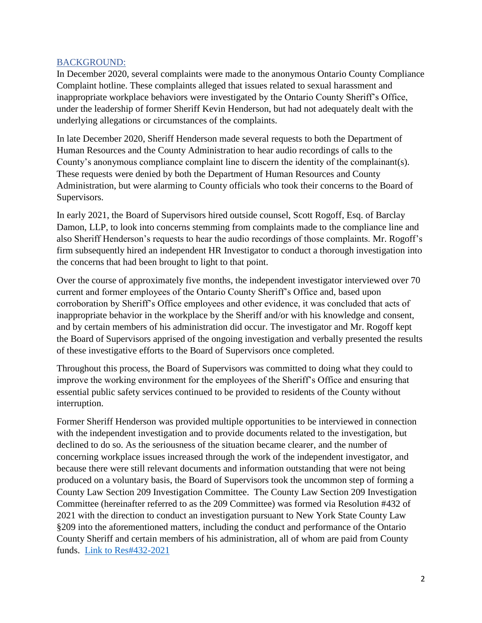#### BACKGROUND:

In December 2020, several complaints were made to the anonymous Ontario County Compliance Complaint hotline. These complaints alleged that issues related to sexual harassment and inappropriate workplace behaviors were investigated by the Ontario County Sheriff's Office, under the leadership of former Sheriff Kevin Henderson, but had not adequately dealt with the underlying allegations or circumstances of the complaints.

In late December 2020, Sheriff Henderson made several requests to both the Department of Human Resources and the County Administration to hear audio recordings of calls to the County's anonymous compliance complaint line to discern the identity of the complainant(s). These requests were denied by both the Department of Human Resources and County Administration, but were alarming to County officials who took their concerns to the Board of Supervisors.

In early 2021, the Board of Supervisors hired outside counsel, Scott Rogoff, Esq. of Barclay Damon, LLP, to look into concerns stemming from complaints made to the compliance line and also Sheriff Henderson's requests to hear the audio recordings of those complaints. Mr. Rogoff's firm subsequently hired an independent HR Investigator to conduct a thorough investigation into the concerns that had been brought to light to that point.

Over the course of approximately five months, the independent investigator interviewed over 70 current and former employees of the Ontario County Sheriff's Office and, based upon corroboration by Sheriff's Office employees and other evidence, it was concluded that acts of inappropriate behavior in the workplace by the Sheriff and/or with his knowledge and consent, and by certain members of his administration did occur. The investigator and Mr. Rogoff kept the Board of Supervisors apprised of the ongoing investigation and verbally presented the results of these investigative efforts to the Board of Supervisors once completed.

Throughout this process, the Board of Supervisors was committed to doing what they could to improve the working environment for the employees of the Sheriff's Office and ensuring that essential public safety services continued to be provided to residents of the County without interruption.

Former Sheriff Henderson was provided multiple opportunities to be interviewed in connection with the independent investigation and to provide documents related to the investigation, but declined to do so. As the seriousness of the situation became clearer, and the number of concerning workplace issues increased through the work of the independent investigator, and because there were still relevant documents and information outstanding that were not being produced on a voluntary basis, the Board of Supervisors took the uncommon step of forming a County Law Section 209 Investigation Committee. The County Law Section 209 Investigation Committee (hereinafter referred to as the 209 Committee) was formed via Resolution #432 of 2021 with the direction to conduct an investigation pursuant to New York State County Law §209 into the aforementioned matters, including the conduct and performance of the Ontario County Sheriff and certain members of his administration, all of whom are paid from County funds. [Link to Res#432-2021](https://ontariocountyny.gov/DocumentCenter/View/30812/Res-No-432-2021---PS---Investigation-Committee-Powers-and-Appointments-Pursuant-to-County-Law-209)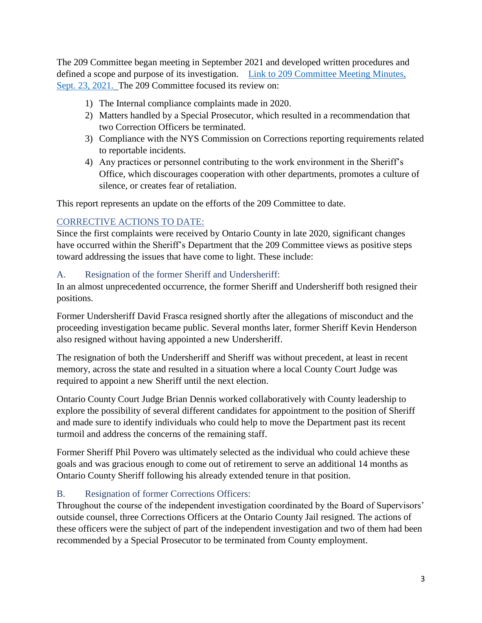The 209 Committee began meeting in September 2021 and developed written procedures and defined a scope and purpose of its investigation. [Link to 209 Committee Meeting Minutes,](https://ontariocountyny.gov/AgendaCenter/ViewFile/Minutes/_09232021-1713)  [Sept. 23, 2021.](https://ontariocountyny.gov/AgendaCenter/ViewFile/Minutes/_09232021-1713) The 209 Committee focused its review on:

- 1) The Internal compliance complaints made in 2020.
- 2) Matters handled by a Special Prosecutor, which resulted in a recommendation that two Correction Officers be terminated.
- 3) Compliance with the NYS Commission on Corrections reporting requirements related to reportable incidents.
- 4) Any practices or personnel contributing to the work environment in the Sheriff's Office, which discourages cooperation with other departments, promotes a culture of silence, or creates fear of retaliation.

This report represents an update on the efforts of the 209 Committee to date.

#### CORRECTIVE ACTIONS TO DATE:

Since the first complaints were received by Ontario County in late 2020, significant changes have occurred within the Sheriff's Department that the 209 Committee views as positive steps toward addressing the issues that have come to light. These include:

#### A. Resignation of the former Sheriff and Undersheriff:

In an almost unprecedented occurrence, the former Sheriff and Undersheriff both resigned their positions.

Former Undersheriff David Frasca resigned shortly after the allegations of misconduct and the proceeding investigation became public. Several months later, former Sheriff Kevin Henderson also resigned without having appointed a new Undersheriff.

The resignation of both the Undersheriff and Sheriff was without precedent, at least in recent memory, across the state and resulted in a situation where a local County Court Judge was required to appoint a new Sheriff until the next election.

Ontario County Court Judge Brian Dennis worked collaboratively with County leadership to explore the possibility of several different candidates for appointment to the position of Sheriff and made sure to identify individuals who could help to move the Department past its recent turmoil and address the concerns of the remaining staff.

Former Sheriff Phil Povero was ultimately selected as the individual who could achieve these goals and was gracious enough to come out of retirement to serve an additional 14 months as Ontario County Sheriff following his already extended tenure in that position.

## B. Resignation of former Corrections Officers:

Throughout the course of the independent investigation coordinated by the Board of Supervisors' outside counsel, three Corrections Officers at the Ontario County Jail resigned. The actions of these officers were the subject of part of the independent investigation and two of them had been recommended by a Special Prosecutor to be terminated from County employment.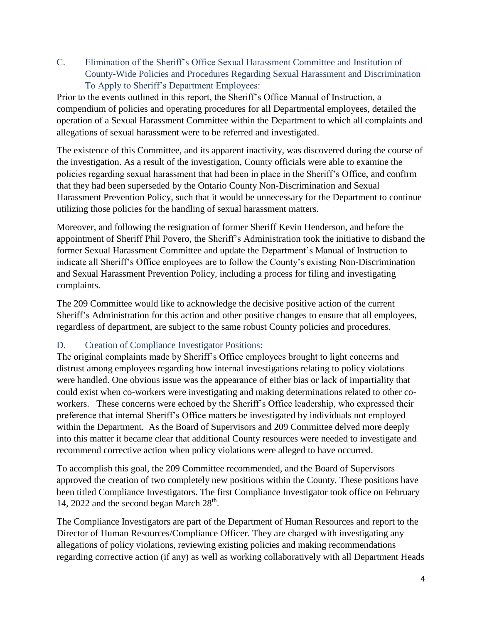C. Elimination of the Sheriff's Office Sexual Harassment Committee and Institution of County-Wide Policies and Procedures Regarding Sexual Harassment and Discrimination To Apply to Sheriff's Department Employees:

Prior to the events outlined in this report, the Sheriff's Office Manual of Instruction, a compendium of policies and operating procedures for all Departmental employees, detailed the operation of a Sexual Harassment Committee within the Department to which all complaints and allegations of sexual harassment were to be referred and investigated.

The existence of this Committee, and its apparent inactivity, was discovered during the course of the investigation. As a result of the investigation, County officials were able to examine the policies regarding sexual harassment that had been in place in the Sheriff's Office, and confirm that they had been superseded by the Ontario County Non-Discrimination and Sexual Harassment Prevention Policy, such that it would be unnecessary for the Department to continue utilizing those policies for the handling of sexual harassment matters.

Moreover, and following the resignation of former Sheriff Kevin Henderson, and before the appointment of Sheriff Phil Povero, the Sheriff's Administration took the initiative to disband the former Sexual Harassment Committee and update the Department's Manual of Instruction to indicate all Sheriff's Office employees are to follow the County's existing Non-Discrimination and Sexual Harassment Prevention Policy, including a process for filing and investigating complaints.

The 209 Committee would like to acknowledge the decisive positive action of the current Sheriff's Administration for this action and other positive changes to ensure that all employees, regardless of department, are subject to the same robust County policies and procedures.

## D. Creation of Compliance Investigator Positions:

The original complaints made by Sheriff's Office employees brought to light concerns and distrust among employees regarding how internal investigations relating to policy violations were handled. One obvious issue was the appearance of either bias or lack of impartiality that could exist when co-workers were investigating and making determinations related to other coworkers. These concerns were echoed by the Sheriff's Office leadership, who expressed their preference that internal Sheriff's Office matters be investigated by individuals not employed within the Department. As the Board of Supervisors and 209 Committee delved more deeply into this matter it became clear that additional County resources were needed to investigate and recommend corrective action when policy violations were alleged to have occurred.

To accomplish this goal, the 209 Committee recommended, and the Board of Supervisors approved the creation of two completely new positions within the County. These positions have been titled Compliance Investigators. The first Compliance Investigator took office on February 14, 2022 and the second began March  $28<sup>th</sup>$ .

The Compliance Investigators are part of the Department of Human Resources and report to the Director of Human Resources/Compliance Officer. They are charged with investigating any allegations of policy violations, reviewing existing policies and making recommendations regarding corrective action (if any) as well as working collaboratively with all Department Heads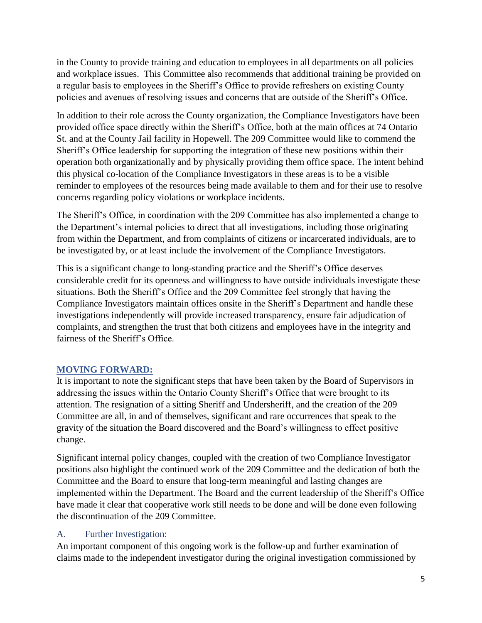in the County to provide training and education to employees in all departments on all policies and workplace issues. This Committee also recommends that additional training be provided on a regular basis to employees in the Sheriff's Office to provide refreshers on existing County policies and avenues of resolving issues and concerns that are outside of the Sheriff's Office.

In addition to their role across the County organization, the Compliance Investigators have been provided office space directly within the Sheriff's Office, both at the main offices at 74 Ontario St. and at the County Jail facility in Hopewell. The 209 Committee would like to commend the Sheriff's Office leadership for supporting the integration of these new positions within their operation both organizationally and by physically providing them office space. The intent behind this physical co-location of the Compliance Investigators in these areas is to be a visible reminder to employees of the resources being made available to them and for their use to resolve concerns regarding policy violations or workplace incidents.

The Sheriff's Office, in coordination with the 209 Committee has also implemented a change to the Department's internal policies to direct that all investigations, including those originating from within the Department, and from complaints of citizens or incarcerated individuals, are to be investigated by, or at least include the involvement of the Compliance Investigators.

This is a significant change to long-standing practice and the Sheriff's Office deserves considerable credit for its openness and willingness to have outside individuals investigate these situations. Both the Sheriff's Office and the 209 Committee feel strongly that having the Compliance Investigators maintain offices onsite in the Sheriff's Department and handle these investigations independently will provide increased transparency, ensure fair adjudication of complaints, and strengthen the trust that both citizens and employees have in the integrity and fairness of the Sheriff's Office.

## **MOVING FORWARD:**

It is important to note the significant steps that have been taken by the Board of Supervisors in addressing the issues within the Ontario County Sheriff's Office that were brought to its attention. The resignation of a sitting Sheriff and Undersheriff, and the creation of the 209 Committee are all, in and of themselves, significant and rare occurrences that speak to the gravity of the situation the Board discovered and the Board's willingness to effect positive change.

Significant internal policy changes, coupled with the creation of two Compliance Investigator positions also highlight the continued work of the 209 Committee and the dedication of both the Committee and the Board to ensure that long-term meaningful and lasting changes are implemented within the Department. The Board and the current leadership of the Sheriff's Office have made it clear that cooperative work still needs to be done and will be done even following the discontinuation of the 209 Committee.

#### A. Further Investigation:

An important component of this ongoing work is the follow-up and further examination of claims made to the independent investigator during the original investigation commissioned by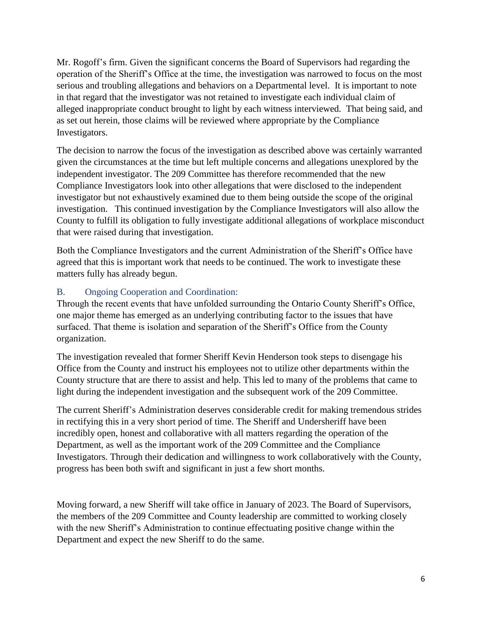Mr. Rogoff's firm. Given the significant concerns the Board of Supervisors had regarding the operation of the Sheriff's Office at the time, the investigation was narrowed to focus on the most serious and troubling allegations and behaviors on a Departmental level. It is important to note in that regard that the investigator was not retained to investigate each individual claim of alleged inappropriate conduct brought to light by each witness interviewed. That being said, and as set out herein, those claims will be reviewed where appropriate by the Compliance Investigators.

The decision to narrow the focus of the investigation as described above was certainly warranted given the circumstances at the time but left multiple concerns and allegations unexplored by the independent investigator. The 209 Committee has therefore recommended that the new Compliance Investigators look into other allegations that were disclosed to the independent investigator but not exhaustively examined due to them being outside the scope of the original investigation. This continued investigation by the Compliance Investigators will also allow the County to fulfill its obligation to fully investigate additional allegations of workplace misconduct that were raised during that investigation.

Both the Compliance Investigators and the current Administration of the Sheriff's Office have agreed that this is important work that needs to be continued. The work to investigate these matters fully has already begun.

## B. Ongoing Cooperation and Coordination:

Through the recent events that have unfolded surrounding the Ontario County Sheriff's Office, one major theme has emerged as an underlying contributing factor to the issues that have surfaced. That theme is isolation and separation of the Sheriff's Office from the County organization.

The investigation revealed that former Sheriff Kevin Henderson took steps to disengage his Office from the County and instruct his employees not to utilize other departments within the County structure that are there to assist and help. This led to many of the problems that came to light during the independent investigation and the subsequent work of the 209 Committee.

The current Sheriff's Administration deserves considerable credit for making tremendous strides in rectifying this in a very short period of time. The Sheriff and Undersheriff have been incredibly open, honest and collaborative with all matters regarding the operation of the Department, as well as the important work of the 209 Committee and the Compliance Investigators. Through their dedication and willingness to work collaboratively with the County, progress has been both swift and significant in just a few short months.

Moving forward, a new Sheriff will take office in January of 2023. The Board of Supervisors, the members of the 209 Committee and County leadership are committed to working closely with the new Sheriff's Administration to continue effectuating positive change within the Department and expect the new Sheriff to do the same.